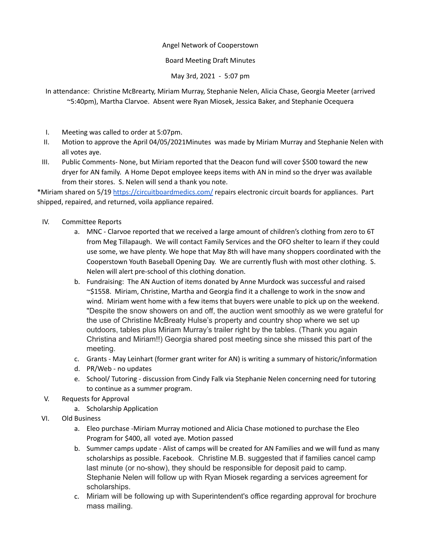## Angel Network of Cooperstown

## Board Meeting Draft Minutes

May 3rd, 2021 - 5:07 pm

In attendance: Christine McBrearty, Miriam Murray, Stephanie Nelen, Alicia Chase, Georgia Meeter (arrived ~5:40pm), Martha Clarvoe. Absent were Ryan Miosek, Jessica Baker, and Stephanie Ocequera

- I. Meeting was called to order at 5:07pm.
- II. Motion to approve the April 04/05/2021Minutes was made by Miriam Murray and Stephanie Nelen with all votes aye.
- III. Public Comments- None, but Miriam reported that the Deacon fund will cover \$500 toward the new dryer for AN family. A Home Depot employee keeps items with AN in mind so the dryer was available from their stores. S. Nelen will send a thank you note.

\*Miriam shared on 5/19 <https://circuitboardmedics.com/> repairs electronic circuit boards for appliances. Part shipped, repaired, and returned, voila appliance repaired.

- IV. Committee Reports
	- a. MNC Clarvoe reported that we received a large amount of children's clothing from zero to 6T from Meg Tillapaugh. We will contact Family Services and the OFO shelter to learn if they could use some, we have plenty. We hope that May 8th will have many shoppers coordinated with the Cooperstown Youth Baseball Opening Day. We are currently flush with most other clothing. S. Nelen will alert pre-school of this clothing donation.
	- b. Fundraising: The AN Auction of items donated by Anne Murdock was successful and raised ~\$1558. Miriam, Christine, Martha and Georgia find it a challenge to work in the snow and wind. Miriam went home with a few items that buyers were unable to pick up on the weekend. "Despite the snow showers on and off, the auction went smoothly as we were grateful for the use of Christine McBreaty Hulse's property and country shop where we set up outdoors, tables plus Miriam Murray's trailer right by the tables. (Thank you again Christina and Miriam!!) Georgia shared post meeting since she missed this part of the meeting.
	- c. Grants May Leinhart (former grant writer for AN) is writing a summary of historic/information
	- d. PR/Web no updates
	- e. School/ Tutoring discussion from Cindy Falk via Stephanie Nelen concerning need for tutoring to continue as a summer program.
- V. Requests for Approval
	- a. Scholarship Application
- VI. Old Business
	- a. Eleo purchase -Miriam Murray motioned and Alicia Chase motioned to purchase the Eleo Program for \$400, all voted aye. Motion passed
	- b. Summer camps update Alist of camps will be created for AN Families and we will fund as many scholarships as possible. Facebook. Christine M.B. suggested that if families cancel camp last minute (or no-show), they should be responsible for deposit paid to camp. Stephanie Nelen will follow up with Ryan Miosek regarding a services agreement for scholarships.
	- c. Miriam will be following up with Superintendent's office regarding approval for brochure mass mailing.